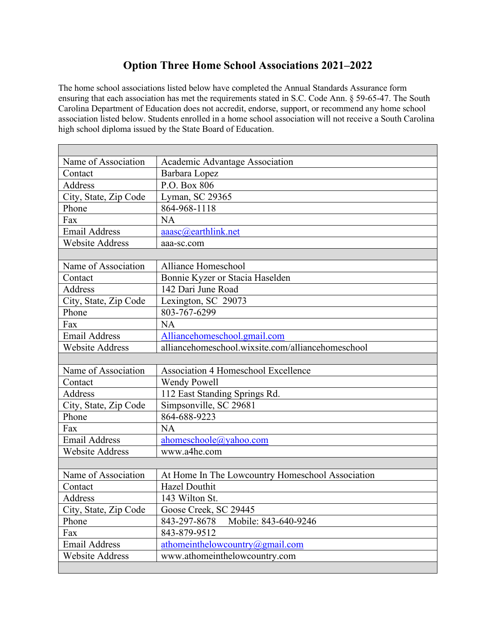## **Option Three Home School Associations 2021–2022**

The home school associations listed below have completed the Annual Standards Assurance form ensuring that each association has met the requirements stated in S.C. Code Ann. § 59-65-47. The South Carolina Department of Education does not accredit, endorse, support, or recommend any home school association listed below. Students enrolled in a home school association will not receive a South Carolina high school diploma issued by the State Board of Education.

÷

| Name of Association    | Academic Advantage Association                    |
|------------------------|---------------------------------------------------|
| Contact                | Barbara Lopez                                     |
| Address                | P.O. Box 806                                      |
| City, State, Zip Code  | Lyman, SC 29365                                   |
| Phone                  | 864-968-1118                                      |
| Fax                    | NA                                                |
| <b>Email Address</b>   | $a$ aasc $@$ earthlink.net                        |
| <b>Website Address</b> | aaa-sc.com                                        |
|                        |                                                   |
| Name of Association    | Alliance Homeschool                               |
| Contact                | Bonnie Kyzer or Stacia Haselden                   |
| Address                | 142 Dari June Road                                |
| City, State, Zip Code  | Lexington, SC 29073                               |
| Phone                  | 803-767-6299                                      |
| Fax                    | <b>NA</b>                                         |
| <b>Email Address</b>   | Alliancehomeschool.gmail.com                      |
| <b>Website Address</b> | alliancehomeschool.wixsite.com/alliancehomeschool |
|                        |                                                   |
| Name of Association    | Association 4 Homeschool Excellence               |
| Contact                | <b>Wendy Powell</b>                               |
| Address                | 112 East Standing Springs Rd.                     |
| City, State, Zip Code  | Simpsonville, SC 29681                            |
| Phone                  | 864-688-9223                                      |
| Fax                    | <b>NA</b>                                         |
| <b>Email Address</b>   | ahomeschoole@yahoo.com                            |
| <b>Website Address</b> | www.a4he.com                                      |
|                        |                                                   |
| Name of Association    | At Home In The Lowcountry Homeschool Association  |
| Contact                | <b>Hazel Douthit</b>                              |
| Address                | 143 Wilton St.                                    |
| City, State, Zip Code  | Goose Creek, SC 29445                             |
| Phone                  | 843-297-8678 Mobile: 843-640-9246                 |
| Fax                    | 843-879-9512                                      |
| <b>Email Address</b>   | athomeinthelowcountry@gmail.com                   |
| <b>Website Address</b> | www.athomeinthelowcountry.com                     |
|                        |                                                   |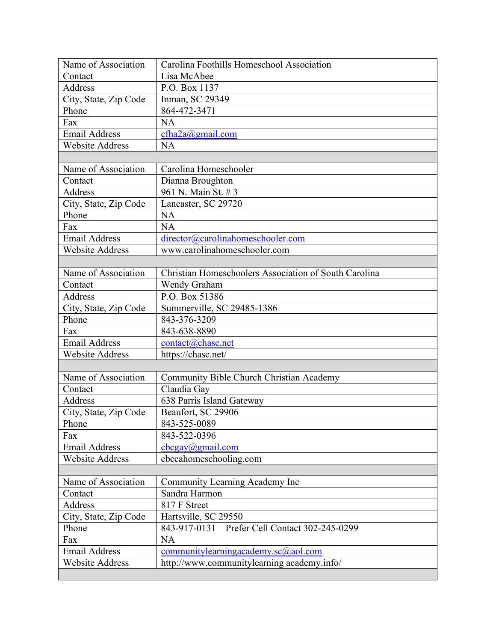| Name of Association    | Carolina Foothills Homeschool Association             |
|------------------------|-------------------------------------------------------|
| Contact                | Lisa McAbee                                           |
| Address                | P.O. Box 1137                                         |
| City, State, Zip Code  | Inman, SC 29349                                       |
| Phone                  | 864-472-3471                                          |
| Fax                    | <b>NA</b>                                             |
| <b>Email Address</b>   | cfha2a@gmail.com                                      |
| <b>Website Address</b> | <b>NA</b>                                             |
|                        |                                                       |
| Name of Association    | Carolina Homeschooler                                 |
| Contact                | Dianna Broughton                                      |
| Address                | 961 N. Main St. #3                                    |
| City, State, Zip Code  | Lancaster, SC 29720                                   |
| Phone                  | <b>NA</b>                                             |
| Fax                    | <b>NA</b>                                             |
| <b>Email Address</b>   | director@carolinahomeschooler.com                     |
| <b>Website Address</b> | www.carolinahomeschooler.com                          |
|                        |                                                       |
| Name of Association    | Christian Homeschoolers Association of South Carolina |
| Contact                | Wendy Graham                                          |
| Address                | P.O. Box 51386                                        |
| City, State, Zip Code  | Summerville, SC 29485-1386                            |
| Phone                  | 843-376-3209                                          |
| Fax                    | 843-638-8890                                          |
| <b>Email Address</b>   | contact@chasc.net                                     |
| <b>Website Address</b> | https://chasc.net/                                    |
|                        |                                                       |
| Name of Association    | Community Bible Church Christian Academy              |
| Contact                | Claudia Gay                                           |
| Address                | 638 Parris Island Gateway                             |
| City, State, Zip Code  | Beaufort, SC 29906                                    |
| Phone                  | 843-525-0089                                          |
| Fax                    | 843-522-0396                                          |
| <b>Email Address</b>   | cbcgay@gmail.com                                      |
| <b>Website Address</b> | cbccahomeschooling.com                                |
|                        |                                                       |
| Name of Association    | Community Learning Academy Inc                        |
| Contact                | Sandra Harmon                                         |
| Address                | 817 F Street                                          |
| City, State, Zip Code  | Hartsville, SC 29550                                  |
| Phone                  | Prefer Cell Contact 302-245-0299<br>843-917-0131      |
| Fax                    | <b>NA</b>                                             |
| <b>Email Address</b>   | $community learning academic.orga$ <sub>20</sub> .com |
| Website Address        | http://www.communitylearning academy.info/            |
|                        |                                                       |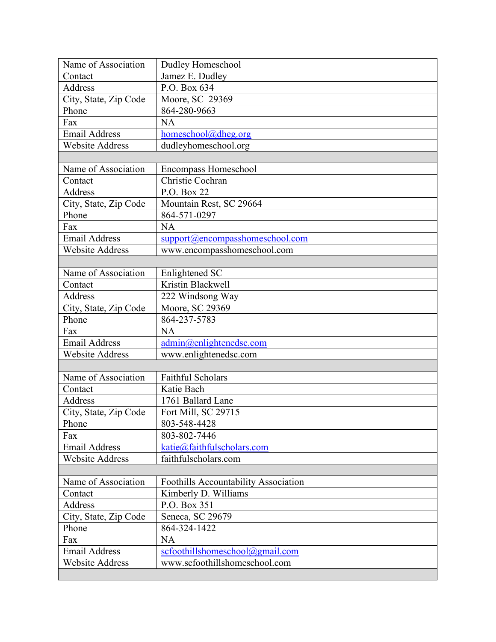| Name of Association    | Dudley Homeschool                    |
|------------------------|--------------------------------------|
| Contact                | Jamez E. Dudley                      |
| Address                | P.O. Box 634                         |
| City, State, Zip Code  | Moore, SC 29369                      |
| Phone                  | 864-280-9663                         |
| Fax                    | NA                                   |
| <b>Email Address</b>   | homeschool@dheg.org                  |
| <b>Website Address</b> | dudleyhomeschool.org                 |
|                        |                                      |
| Name of Association    | <b>Encompass Homeschool</b>          |
| Contact                | Christie Cochran                     |
| Address                | P.O. Box 22                          |
| City, State, Zip Code  | Mountain Rest, SC 29664              |
| Phone                  | 864-571-0297                         |
| Fax                    | <b>NA</b>                            |
| <b>Email Address</b>   | support@encompasshomeschool.com      |
| <b>Website Address</b> | www.encompasshomeschool.com          |
|                        |                                      |
| Name of Association    | Enlightened SC                       |
| Contact                | Kristin Blackwell                    |
| Address                | 222 Windsong Way                     |
| City, State, Zip Code  | Moore, SC 29369                      |
| Phone                  | 864-237-5783                         |
| Fax                    | NA                                   |
| <b>Email Address</b>   | admin@enlightenedsc.com              |
| <b>Website Address</b> | www.enlightenedsc.com                |
|                        |                                      |
| Name of Association    | <b>Faithful Scholars</b>             |
| Contact                | Katie Bach                           |
| Address                | 1761 Ballard Lane                    |
| City, State, Zip Code  | Fort Mill, SC 29715                  |
| Phone                  | 803-548-4428                         |
| Fax                    | 803-802-7446                         |
| <b>Email Address</b>   | katie@faithfulscholars.com           |
| <b>Website Address</b> | faithfulscholars.com                 |
|                        |                                      |
| Name of Association    | Foothills Accountability Association |
| Contact                | Kimberly D. Williams                 |
| Address                | P.O. Box 351                         |
| City, State, Zip Code  | Seneca, SC 29679                     |
| Phone                  | 864-324-1422                         |
| Fax                    | <b>NA</b>                            |
| <b>Email Address</b>   | scfoothillshomeschool@gmail.com      |
| <b>Website Address</b> | www.scfoothillshomeschool.com        |
|                        |                                      |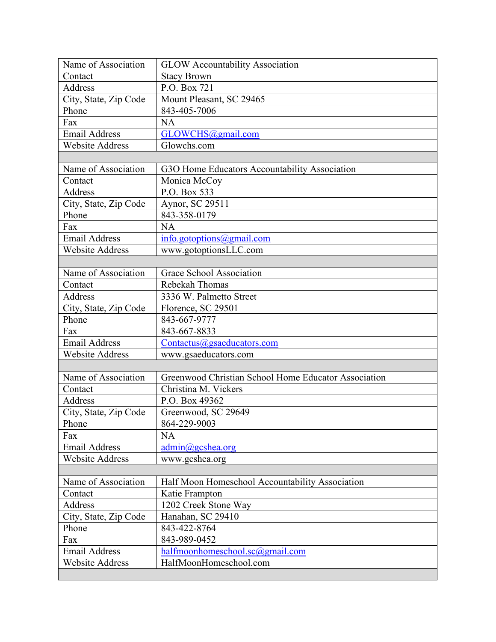| Name of Association    | <b>GLOW Accountability Association</b>               |
|------------------------|------------------------------------------------------|
| Contact                | <b>Stacy Brown</b>                                   |
| Address                | P.O. Box 721                                         |
| City, State, Zip Code  | Mount Pleasant, SC 29465                             |
| Phone                  | 843-405-7006                                         |
| Fax                    | <b>NA</b>                                            |
| <b>Email Address</b>   | GLOWCHS@gmail.com                                    |
| <b>Website Address</b> | Glowchs.com                                          |
|                        |                                                      |
| Name of Association    | G3O Home Educators Accountability Association        |
| Contact                | Monica McCoy                                         |
| Address                | P.O. Box 533                                         |
| City, State, Zip Code  | Aynor, SC 29511                                      |
| Phone                  | 843-358-0179                                         |
| Fax                    | <b>NA</b>                                            |
| <b>Email Address</b>   | info.gotoptions@gmail.com                            |
| <b>Website Address</b> | www.gotoptionsLLC.com                                |
|                        |                                                      |
| Name of Association    | Grace School Association                             |
| Contact                | Rebekah Thomas                                       |
| Address                | 3336 W. Palmetto Street                              |
| City, State, Zip Code  | Florence, SC 29501                                   |
| Phone                  | 843-667-9777                                         |
| Fax                    | 843-667-8833                                         |
| <b>Email Address</b>   | Contactus@gsaeducators.com                           |
| <b>Website Address</b> | www.gsaeducators.com                                 |
|                        |                                                      |
| Name of Association    | Greenwood Christian School Home Educator Association |
| Contact                | Christina M. Vickers                                 |
| Address                | P.O. Box 49362                                       |
| City, State, Zip Code  | Greenwood, SC 29649                                  |
| Phone                  | 864-229-9003                                         |
| Fax                    | NA                                                   |
| <b>Email Address</b>   | $\text{admin}(a)$ gcshea.org                         |
| <b>Website Address</b> | www.gcshea.org                                       |
|                        |                                                      |
| Name of Association    | Half Moon Homeschool Accountability Association      |
| Contact                | Katie Frampton                                       |
| Address                | 1202 Creek Stone Way                                 |
| City, State, Zip Code  | Hanahan, SC 29410                                    |
| Phone                  | 843-422-8764                                         |
| Fax                    | 843-989-0452                                         |
| <b>Email Address</b>   | halfmoonhomeschool.sc@gmail.com                      |
| Website Address        | HalfMoonHomeschool.com                               |
|                        |                                                      |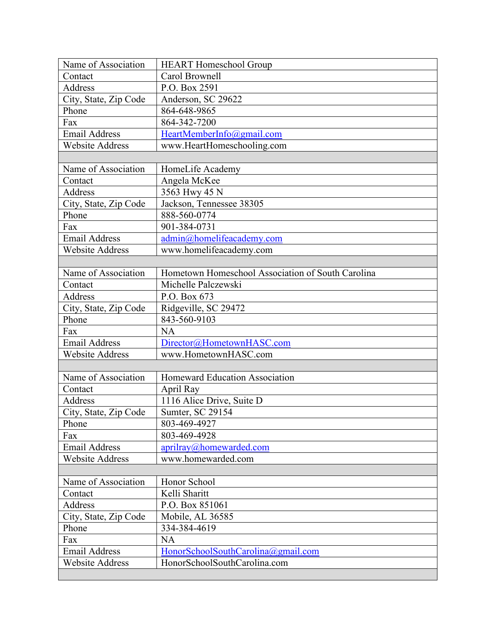| Name of Association    | <b>HEART Homeschool Group</b>                     |
|------------------------|---------------------------------------------------|
| Contact                | Carol Brownell                                    |
| Address                | P.O. Box 2591                                     |
| City, State, Zip Code  | Anderson, SC 29622                                |
| Phone                  | 864-648-9865                                      |
| Fax                    | 864-342-7200                                      |
| <b>Email Address</b>   | HeartMemberInfo@gmail.com                         |
| <b>Website Address</b> | www.HeartHomeschooling.com                        |
|                        |                                                   |
| Name of Association    | HomeLife Academy                                  |
| Contact                | Angela McKee                                      |
| Address                | 3563 Hwy 45 N                                     |
| City, State, Zip Code  | Jackson, Tennessee 38305                          |
| Phone                  | 888-560-0774                                      |
| Fax                    | 901-384-0731                                      |
| <b>Email Address</b>   | admin@homelifeacademy.com                         |
| <b>Website Address</b> | www.homelifeacademy.com                           |
|                        |                                                   |
| Name of Association    | Hometown Homeschool Association of South Carolina |
| Contact                | Michelle Palczewski                               |
| Address                | P.O. Box 673                                      |
| City, State, Zip Code  | Ridgeville, SC 29472                              |
| Phone                  | 843-560-9103                                      |
| Fax                    | <b>NA</b>                                         |
| <b>Email Address</b>   | Director@HometownHASC.com                         |
| <b>Website Address</b> | www.HometownHASC.com                              |
|                        |                                                   |
| Name of Association    | Homeward Education Association                    |
| Contact                | April Ray                                         |
| Address                | 1116 Alice Drive, Suite D                         |
| City, State, Zip Code  | Sumter, SC 29154                                  |
| Phone                  | 803-469-4927                                      |
| Fax                    | 803-469-4928                                      |
| <b>Email Address</b>   | aprilray@homewarded.com                           |
| <b>Website Address</b> | www.homewarded.com                                |
|                        |                                                   |
| Name of Association    | Honor School                                      |
| Contact                | Kelli Sharitt                                     |
| Address                | P.O. Box 851061                                   |
| City, State, Zip Code  | Mobile, AL 36585                                  |
| Phone                  | 334-384-4619                                      |
| Fax                    | <b>NA</b>                                         |
| <b>Email Address</b>   | HonorSchoolSouthCarolina@gmail.com                |
| <b>Website Address</b> | HonorSchoolSouthCarolina.com                      |
|                        |                                                   |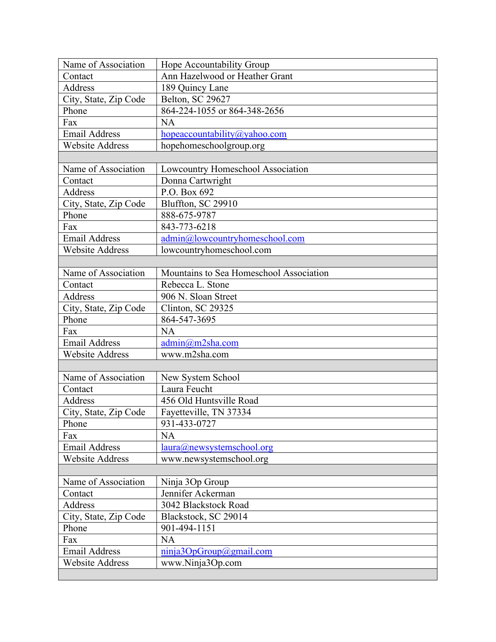| Name of Association    | Hope Accountability Group               |
|------------------------|-----------------------------------------|
| Contact                | Ann Hazelwood or Heather Grant          |
| Address                | 189 Quincy Lane                         |
| City, State, Zip Code  | Belton, SC 29627                        |
| Phone                  | 864-224-1055 or 864-348-2656            |
| Fax                    | <b>NA</b>                               |
| <b>Email Address</b>   | hopeaccountability@yahoo.com            |
| <b>Website Address</b> | hopehomeschoolgroup.org                 |
|                        |                                         |
| Name of Association    | Lowcountry Homeschool Association       |
| Contact                | Donna Cartwright                        |
| Address                | P.O. Box 692                            |
| City, State, Zip Code  | Bluffton, SC 29910                      |
| Phone                  | 888-675-9787                            |
| Fax                    | 843-773-6218                            |
| <b>Email Address</b>   | admin@lowcountryhomeschool.com          |
| <b>Website Address</b> | lowcountryhomeschool.com                |
|                        |                                         |
| Name of Association    | Mountains to Sea Homeschool Association |
| Contact                | Rebecca L. Stone                        |
| Address                | 906 N. Sloan Street                     |
| City, State, Zip Code  | Clinton, SC 29325                       |
| Phone                  | 864-547-3695                            |
| Fax                    | <b>NA</b>                               |
| <b>Email Address</b>   | $\text{admin}(a)$ m2sha.com             |
| <b>Website Address</b> | www.m2sha.com                           |
|                        |                                         |
| Name of Association    | New System School                       |
| Contact                | Laura Feucht                            |
| Address                | 456 Old Huntsville Road                 |
| City, State, Zip Code  | Fayetteville, TN 37334                  |
| Phone                  | 931-433-0727                            |
| Fax                    | NA                                      |
| <b>Email Address</b>   | laura@newsystemschool.org               |
| <b>Website Address</b> | www.newsystemschool.org                 |
|                        |                                         |
| Name of Association    | Ninja 3Op Group                         |
| Contact                | Jennifer Ackerman                       |
| Address                | 3042 Blackstock Road                    |
| City, State, Zip Code  | Blackstock, SC 29014                    |
| Phone                  | 901-494-1151                            |
| Fax                    | <b>NA</b>                               |
| <b>Email Address</b>   | ninja3OpGroup@gmail.com                 |
| Website Address        | www.Ninja3Op.com                        |
|                        |                                         |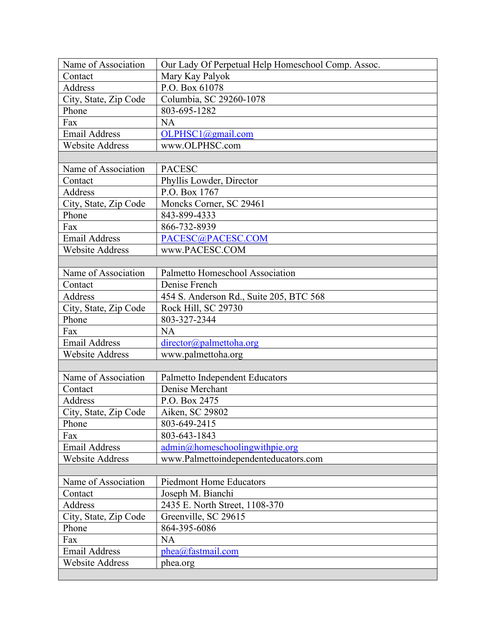| Name of Association    | Our Lady Of Perpetual Help Homeschool Comp. Assoc. |
|------------------------|----------------------------------------------------|
| Contact                | Mary Kay Palyok                                    |
| Address                | P.O. Box 61078                                     |
| City, State, Zip Code  | Columbia, SC 29260-1078                            |
| Phone                  | 803-695-1282                                       |
| Fax                    | <b>NA</b>                                          |
| <b>Email Address</b>   | OLPHSC1@gmail.com                                  |
| <b>Website Address</b> | www.OLPHSC.com                                     |
|                        |                                                    |
| Name of Association    | <b>PACESC</b>                                      |
| Contact                | Phyllis Lowder, Director                           |
| Address                | P.O. Box 1767                                      |
| City, State, Zip Code  | Moncks Corner, SC 29461                            |
| Phone                  | 843-899-4333                                       |
| Fax                    | 866-732-8939                                       |
| <b>Email Address</b>   | PACESC@PACESC.COM                                  |
| <b>Website Address</b> | www.PACESC.COM                                     |
|                        |                                                    |
| Name of Association    | Palmetto Homeschool Association                    |
| Contact                | Denise French                                      |
| Address                | 454 S. Anderson Rd., Suite 205, BTC 568            |
| City, State, Zip Code  | Rock Hill, SC 29730                                |
| Phone                  | 803-327-2344                                       |
| Fax                    | <b>NA</b>                                          |
| <b>Email Address</b>   | director@palmettoha.org                            |
| <b>Website Address</b> | www.palmettoha.org                                 |
|                        |                                                    |
| Name of Association    | Palmetto Independent Educators                     |
| Contact                | Denise Merchant                                    |
| Address                | P.O. Box 2475                                      |
| City, State, Zip Code  | Aiken, SC 29802                                    |
| Phone                  | 803-649-2415                                       |
| Fax                    | 803-643-1843                                       |
| <b>Email Address</b>   | $\text{admin}(a)$ homeschoolingwithpie.org         |
| <b>Website Address</b> | www.Palmettoindependenteducators.com               |
|                        |                                                    |
| Name of Association    | <b>Piedmont Home Educators</b>                     |
| Contact                | Joseph M. Bianchi                                  |
| Address                | 2435 E. North Street, 1108-370                     |
| City, State, Zip Code  | Greenville, SC 29615                               |
| Phone                  | 864-395-6086                                       |
| Fax                    | <b>NA</b>                                          |
| <b>Email Address</b>   | phea@fastmail.com                                  |
| Website Address        | phea.org                                           |
|                        |                                                    |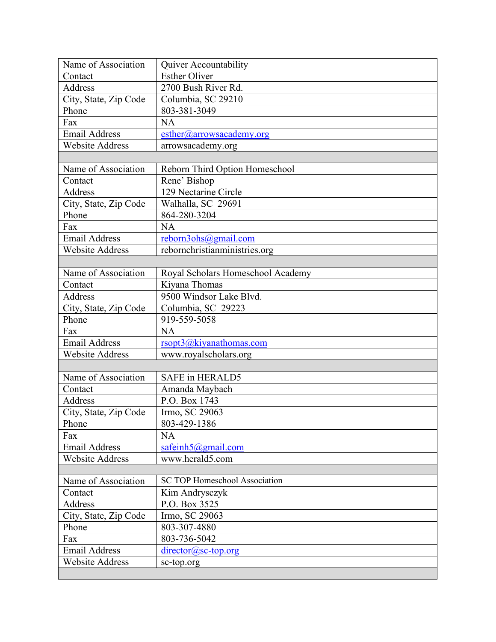| Name of Association    | Quiver Accountability                |
|------------------------|--------------------------------------|
| Contact                | <b>Esther Oliver</b>                 |
| Address                | 2700 Bush River Rd.                  |
| City, State, Zip Code  | Columbia, SC 29210                   |
| Phone                  | 803-381-3049                         |
| Fax                    | <b>NA</b>                            |
| <b>Email Address</b>   | esther@arrowsacademy.org             |
| <b>Website Address</b> | arrowsacademy.org                    |
|                        |                                      |
| Name of Association    | Reborn Third Option Homeschool       |
| Contact                | Rene' Bishop                         |
| Address                | 129 Nectarine Circle                 |
| City, State, Zip Code  | Walhalla, SC 29691                   |
| Phone                  | 864-280-3204                         |
| Fax                    | NA                                   |
| <b>Email Address</b>   | reborn3ohs@gmail.com                 |
| <b>Website Address</b> | rebornchristianministries.org        |
|                        |                                      |
| Name of Association    | Royal Scholars Homeschool Academy    |
| Contact                | Kiyana Thomas                        |
| Address                | 9500 Windsor Lake Blvd.              |
| City, State, Zip Code  | Columbia, SC 29223                   |
| Phone                  | 919-559-5058                         |
| Fax                    | NA                                   |
| <b>Email Address</b>   | rsopt3@kiyanathomas.com              |
| <b>Website Address</b> | www.royalscholars.org                |
|                        |                                      |
| Name of Association    | <b>SAFE</b> in HERALD5               |
| Contact                | Amanda Maybach                       |
| Address                | P.O. Box 1743                        |
| City, State, Zip Code  | Irmo, SC 29063                       |
| Phone                  | 803-429-1386                         |
| Fax                    | <b>NA</b>                            |
| <b>Email Address</b>   | safeinh $5@g$ mail.com               |
| <b>Website Address</b> | www.herald5.com                      |
|                        |                                      |
| Name of Association    | <b>SC TOP Homeschool Association</b> |
| Contact                | Kim Andrysczyk                       |
| Address                | P.O. Box 3525                        |
| City, State, Zip Code  | Irmo, SC 29063                       |
| Phone                  | 803-307-4880                         |
| Fax                    | 803-736-5042                         |
| <b>Email Address</b>   | $\text{directory@sc-top.org}$        |
| Website Address        | sc-top.org                           |
|                        |                                      |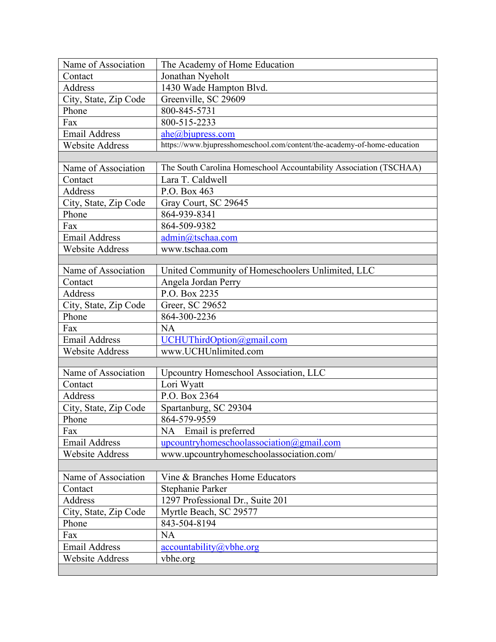| Name of Association    | The Academy of Home Education                                            |
|------------------------|--------------------------------------------------------------------------|
| Contact                | Jonathan Nyeholt                                                         |
| <b>Address</b>         | 1430 Wade Hampton Blvd.                                                  |
| City, State, Zip Code  | Greenville, SC 29609                                                     |
| Phone                  | 800-845-5731                                                             |
| Fax                    | 800-515-2233                                                             |
| <b>Email Address</b>   | ahe@biupress.com                                                         |
| <b>Website Address</b> | https://www.bjupresshomeschool.com/content/the-academy-of-home-education |
|                        |                                                                          |
| Name of Association    | The South Carolina Homeschool Accountability Association (TSCHAA)        |
| Contact                | Lara T. Caldwell                                                         |
| Address                | P.O. Box 463                                                             |
| City, State, Zip Code  | Gray Court, SC 29645                                                     |
| Phone                  | 864-939-8341                                                             |
| Fax                    | 864-509-9382                                                             |
| Email Address          | admin@tschaa.com                                                         |
| <b>Website Address</b> | www.tschaa.com                                                           |
|                        |                                                                          |
| Name of Association    | United Community of Homeschoolers Unlimited, LLC                         |
| Contact                | Angela Jordan Perry                                                      |
| Address                | P.O. Box 2235                                                            |
| City, State, Zip Code  | Greer, SC 29652                                                          |
| Phone                  | 864-300-2236                                                             |
| Fax                    | <b>NA</b>                                                                |
| <b>Email Address</b>   | UCHUThirdOption@gmail.com                                                |
| <b>Website Address</b> | www.UCHUnlimited.com                                                     |
|                        |                                                                          |
| Name of Association    | Upcountry Homeschool Association, LLC                                    |
| Contact                | Lori Wyatt                                                               |
| Address                | P.O. Box 2364                                                            |
| City, State, Zip Code  | Spartanburg, SC 29304                                                    |
| Phone                  | 864-579-9559                                                             |
| Fax                    | Email is preferred<br>NA                                                 |
| <b>Email Address</b>   | upcountryhomeschoolassociation@gmail.com                                 |
| <b>Website Address</b> | www.upcountryhomeschoolassociation.com/                                  |
|                        |                                                                          |
| Name of Association    | Vine & Branches Home Educators                                           |
| Contact                | Stephanie Parker                                                         |
| Address                | 1297 Professional Dr., Suite 201                                         |
| City, State, Zip Code  | Myrtle Beach, SC 29577                                                   |
| Phone                  | 843-504-8194                                                             |
| Fax                    | <b>NA</b>                                                                |
| <b>Email Address</b>   | $accountability(a)$ ybhe.org                                             |
| <b>Website Address</b> | vbhe.org                                                                 |
|                        |                                                                          |